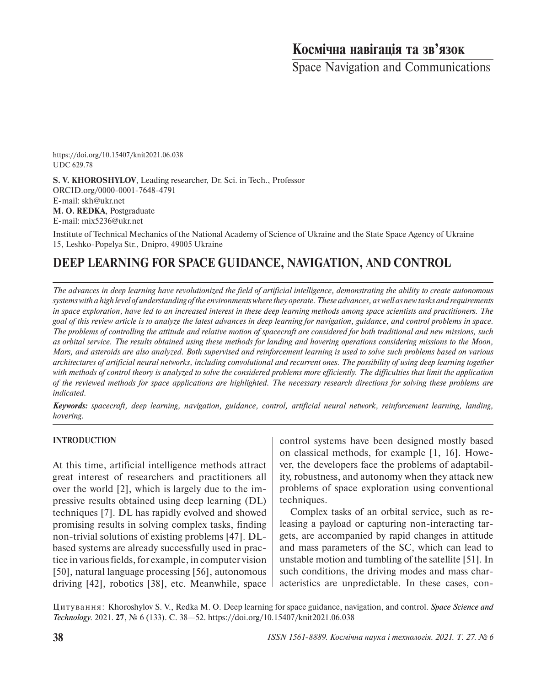# **Космічна навігація та зв'язок**

Space Navigation and Communications

https://doi.org/10.15407/knit2021.06.038 UDC 629.78

**S. V. KHOROSHYLOV**, Leading researcher, Dr. Sci. in Tech., Professor ORCID.org/0000-0001-7648-4791 E-mail: skh@ukr.net **M. O. REDKA**, Postgraduate E-mail: mix5236@ukr.net

Institute of Technical Mechanics of the National Academy of Science of Ukraine and the State Space Agency of Ukraine 15, Leshko-Popelya Str., Dnipro, 49005 Ukraine

# **DEEP LEARNING FOR SPACE GUIDANCE, NAVIGATION, AND CONTROL**

*The advances in deep learning have revolutionized the field of artificial intelligence, demonstrating the ability to create autonomous systems with a high level of understanding of the environments where they operate. These advances, as well as new tasks and requirements in space exploration, have led to an increased interest in these deep learning methods among space scientists and practitioners. The goal of this review article is to analyze the latest advances in deep learning for navigation, guidance, and control problems in space. The problems of controlling the attitude and relative motion of spacecraft are considered for both traditional and new missions, such as orbital service. The results obtained using these methods for landing and hovering operations considering missions to the Moon, Mars, and asteroids are also analyzed. Both supervised and reinforcement learning is used to solve such problems based on various architectures of artificial neural networks, including convolutional and recurrent ones. The possibility of using deep learning together with methods of control theory is analyzed to solve the considered problems more efficiently. The difficulties that limit the application of the reviewed methods for space applications are highlighted. The necessary research directions for solving these problems are indicated.*

*Keywords: spacecraft, deep learning, navigation, guidance, control, artificial neural network, reinforcement learning, landing, hovering.*

### **INTRODUCTION**

At this time, artificial intelligence methods attract great interest of researchers and practitioners all over the world [2], which is largely due to the impressive results obtained using deep learning (DL) techniques [7]. DL has rapidly evolved and showed promising results in solving complex tasks, finding non-trivial solutions of existing problems [47]. DLbased systems are already successfully used in practice in various fields, for example, in computer vision [50], natural language processing [56], autonomous driving [42], robotics [38], etc. Meanwhile, space control systems have been designed mostly based on classical methods, for example [1, 16]. However, the developers face the problems of adaptability, robustness, and autonomy when they attack new problems of space exploration using conventional techniques.

Complex tasks of an orbital service, such as releasing a payload or capturing non-interacting targets, are accompanied by rapid changes in attitude and mass parameters of the SC, which can lead to unstable motion and tumbling of the satellite [51]. In such conditions, the driving modes and mass characteristics are unpredictable. In these cases, con-

Цитування: Khoroshylov S. V., Redka M. O. Deep learning for space guidance, navigation, and control. *Space Science and Technology.* 2021. **27**, № 6 (133). С. 38—52. https://doi.org/10.15407/knit2021.06.038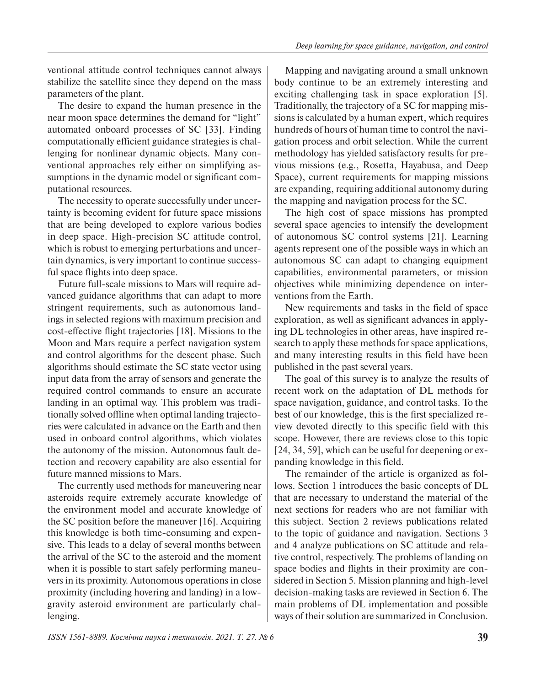ventional attitude control techniques cannot always stabilize the satellite since they depend on the mass parameters of the plant.

The desire to expand the human presence in the near moon space determines the demand for "light" automated onboard processes of SC [33]. Finding computationally efficient guidance strategies is challenging for nonlinear dynamic objects. Many conventional approaches rely either on simplifying assumptions in the dynamic model or significant computational resources.

The necessity to operate successfully under uncertainty is becoming evident for future space missions that are being developed to explore various bodies in deep space. High-precision SC attitude control, which is robust to emerging perturbations and uncertain dynamics, is very important to continue successful space flights into deep space.

Future full-scale missions to Mars will require advanced guidance algorithms that can adapt to more stringent requirements, such as autonomous landings in selected regions with maximum precision and cost-effective flight trajectories [18]. Missions to the Moon and Mars require a perfect navigation system and control algorithms for the descent phase. Such algorithms should estimate the SC state vector using input data from the array of sensors and generate the required control commands to ensure an accurate landing in an optimal way. This problem was traditionally solved offline when optimal landing trajectories were calculated in advance on the Earth and then used in onboard control algorithms, which violates the autonomy of the mission. Autonomous fault detection and recovery capability are also essential for future manned missions to Mars.

The currently used methods for maneuvering near asteroids require extremely accurate knowledge of the environment model and accurate knowledge of the SC position before the maneuver [16]. Acquiring this knowledge is both time-consuming and expensive. This leads to a delay of several months between the arrival of the SC to the asteroid and the moment when it is possible to start safely performing maneuvers in its proximity. Autonomous operations in close proximity (including hovering and landing) in a lowgravity asteroid environment are particularly challenging.

Mapping and navigating around a small unknown body continue to be an extremely interesting and exciting challenging task in space exploration [5]. Traditionally, the trajectory of a SC for mapping missions is calculated by a human expert, which requires hundreds of hours of human time to control the navigation process and orbit selection. While the current methodology has yielded satisfactory results for previous missions (e.g., Rosetta, Hayabusa, and Deep Space), current requirements for mapping missions are expanding, requiring additional autonomy during the mapping and navigation process for the SC.

The high cost of space missions has prompted several space agencies to intensify the development of autonomous SC control systems [21]. Learning agents represent one of the possible ways in which an autonomous SC can adapt to changing equipment capabilities, environmental parameters, or mission objectives while minimizing dependence on interventions from the Earth.

New requirements and tasks in the field of space exploration, as well as significant advances in applying DL technologies in other areas, have inspired research to apply these methods for space applications, and many interesting results in this field have been published in the past several years.

The goal of this survey is to analyze the results of recent work on the adaptation of DL methods for space navigation, guidance, and control tasks. To the best of our knowledge, this is the first specialized review devoted directly to this specific field with this scope. However, there are reviews close to this topic [24, 34, 59], which can be useful for deepening or expanding knowledge in this field.

The remainder of the article is organized as follows. Section 1 introduces the basic concepts of DL that are necessary to understand the material of the next sections for readers who are not familiar with this subject. Section 2 reviews publications related to the topic of guidance and navigation. Sections 3 and 4 analyze publications on SC attitude and relative control, respectively. The problems of landing on space bodies and flights in their proximity are considered in Section 5. Mission planning and high-level decision-making tasks are reviewed in Section 6. The main problems of DL implementation and possible ways of their solution are summarized in Conclusion.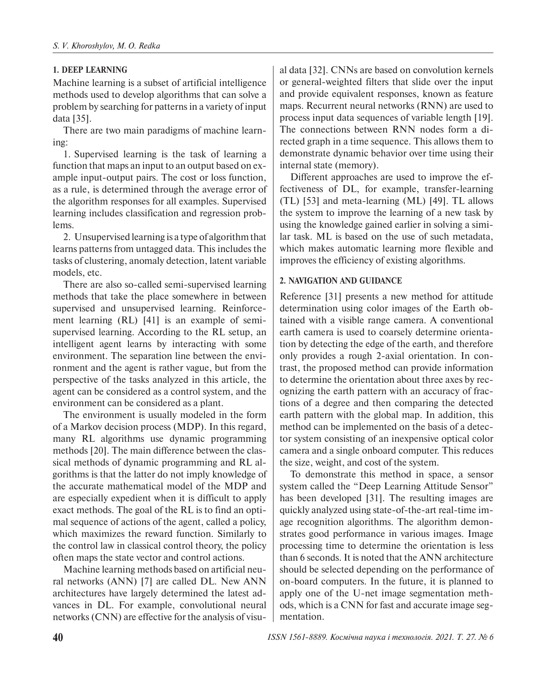## **1. DEEP LEARNING**

Machine learning is a subset of artificial intelligence methods used to develop algorithms that can solve a problem by searching for patterns in a variety of input data [35].

There are two main paradigms of machine learning:

1. Supervised learning is the task of learning a function that maps an input to an output based on example input-output pairs. The cost or loss function, as a rule, is determined through the average error of the algorithm responses for all examples. Supervised learning includes classification and regression problems.

2. Unsupervised learning is a type of algorithm that learns patterns from untagged data. This includes the tasks of clustering, anomaly detection, latent variable models, etc.

There are also so-called semi-supervised learning methods that take the place somewhere in between supervised and unsupervised learning. Reinforcement learning (RL) [41] is an example of semisupervised learning. According to the RL setup, an intelligent agent learns by interacting with some environment. The separation line between the environment and the agent is rather vague, but from the perspective of the tasks analyzed in this article, the agent can be considered as a control system, and the environment can be considered as a plant.

The environment is usually modeled in the form of a Markov decision process (MDP). In this regard, many RL algorithms use dynamic programming methods [20]. The main difference between the classical methods of dynamic programming and RL algorithms is that the latter do not imply knowledge of the accurate mathematical model of the MDP and are especially expedient when it is difficult to apply exact methods. The goal of the RL is to find an optimal sequence of actions of the agent, called a policy, which maximizes the reward function. Similarly to the control law in classical control theory, the policy often maps the state vector and control actions.

Machine learning methods based on artificial neural networks (ANN) [7] are called DL. New ANN architectures have largely determined the latest advances in DL. For example, convolutional neural networks (CNN) are effective for the analysis of visual data [32]. CNNs are based on convolution kernels or general-weighted filters that slide over the input and provide equivalent responses, known as feature maps. Recurrent neural networks (RNN) are used to process input data sequences of variable length [19]. The connections between RNN nodes form a directed graph in a time sequence. This allows them to demonstrate dynamic behavior over time using their internal state (memory).

Different approaches are used to improve the effectiveness of DL, for example, transfer-learning (TL) [53] and meta-learning (ML) [49]. TL allows the system to improve the learning of a new task by using the knowledge gained earlier in solving a similar task. ML is based on the use of such metadata, which makes automatic learning more flexible and improves the efficiency of existing algorithms.

## **2. NAVIGATION AND GUIDANCE**

Reference [31] presents a new method for attitude determination using color images of the Earth obtained with a visible range camera. A conventional earth camera is used to coarsely determine orientation by detecting the edge of the earth, and therefore only provides a rough 2-axial orientation. In contrast, the proposed method can provide information to determine the orientation about three axes by recognizing the earth pattern with an accuracy of fractions of a degree and then comparing the detected earth pattern with the global map. In addition, this method can be implemented on the basis of a detector system consisting of an inexpensive optical color camera and a single onboard computer. This reduces the size, weight, and cost of the system.

To demonstrate this method in space, a sensor system called the "Deep Learning Attitude Sensor" has been developed [31]. The resulting images are quickly analyzed using state-of-the-art real-time image recognition algorithms. The algorithm demonstrates good performance in various images. Image processing time to determine the orientation is less than 6 seconds. It is noted that the ANN architecture should be selected depending on the performance of on-board computers. In the future, it is planned to apply one of the U-net image segmentation methods, which is a CNN for fast and accurate image segmentation.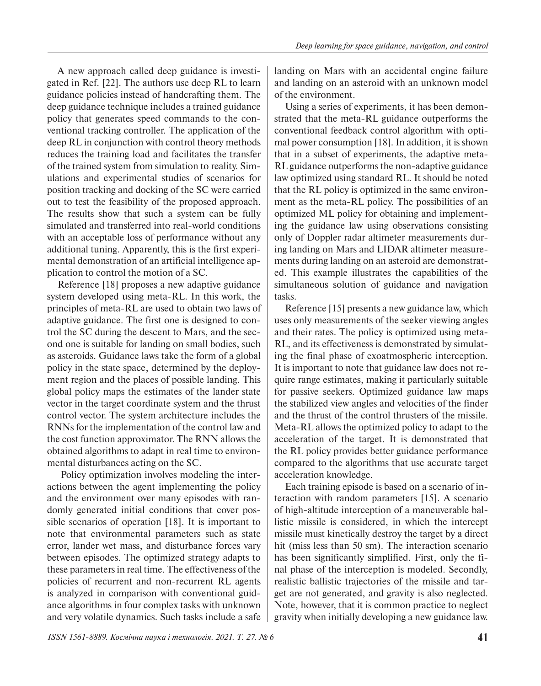A new approach called deep guidance is investigated in Ref. [22]. The authors use deep RL to learn guidance policies instead of handcrafting them. The deep guidance technique includes a trained guidance policy that generates speed commands to the conventional tracking controller. The application of the deep RL in conjunction with control theory methods reduces the training load and facilitates the transfer of the trained system from simulation to reality. Simulations and experimental studies of scenarios for position tracking and docking of the SC were carried out to test the feasibility of the proposed approach. The results show that such a system can be fully simulated and transferred into real-world conditions with an acceptable loss of performance without any additional tuning. Apparently, this is the first experimental demonstration of an artificial intelligence application to control the motion of a SC.

Reference [18] proposes a new adaptive guidance system developed using meta-RL. In this work, the principles of meta-RL are used to obtain two laws of adaptive guidance. The first one is designed to control the SC during the descent to Mars, and the second one is suitable for landing on small bodies, such as asteroids. Guidance laws take the form of a global policy in the state space, determined by the deployment region and the places of possible landing. This global policy maps the estimates of the lander state vector in the target coordinate system and the thrust control vector. The system architecture includes the RNNs for the implementation of the control law and the cost function approximator. The RNN allows the obtained algorithms to adapt in real time to environmental disturbances acting on the SC.

 Policy optimization involves modeling the interactions between the agent implementing the policy and the environment over many episodes with randomly generated initial conditions that cover possible scenarios of operation [18]. It is important to note that environmental parameters such as state error, lander wet mass, and disturbance forces vary between episodes. The optimized strategy adapts to these parameters in real time. The effectiveness of the policies of recurrent and non-recurrent RL agents is analyzed in comparison with conventional guidance algorithms in four complex tasks with unknown and very volatile dynamics. Such tasks include a safe landing on Mars with an accidental engine failure and landing on an asteroid with an unknown model of the environment.

Using a series of experiments, it has been demonstrated that the meta-RL guidance outperforms the conventional feedback control algorithm with optimal power consumption [18]. In addition, it is shown that in a subset of experiments, the adaptive meta-RL guidance outperforms the non-adaptive guidance law optimized using standard RL. It should be noted that the RL policy is optimized in the same environment as the meta-RL policy. The possibilities of an optimized ML policy for obtaining and implementing the guidance law using observations consisting only of Doppler radar altimeter measurements during landing on Mars and LIDAR altimeter measurements during landing on an asteroid are demonstrated. This example illustrates the capabilities of the simultaneous solution of guidance and navigation tasks.

Reference [15] presents a new guidance law, which uses only measurements of the seeker viewing angles and their rates. The policy is optimized using meta-RL, and its effectiveness is demonstrated by simulating the final phase of exoatmospheric interception. It is important to note that guidance law does not require range estimates, making it particularly suitable for passive seekers. Optimized guidance law maps the stabilized view angles and velocities of the finder and the thrust of the control thrusters of the missile. Meta-RL allows the optimized policy to adapt to the acceleration of the target. It is demonstrated that the RL policy provides better guidance performance compared to the algorithms that use accurate target acceleration knowledge.

Each training episode is based on a scenario of interaction with random parameters [15]. A scenario of high-altitude interception of a maneuverable ballistic missile is considered, in which the intercept missile must kinetically destroy the target by a direct hit (miss less than 50 sm). The interaction scenario has been significantly simplified. First, only the final phase of the interception is modeled. Secondly, realistic ballistic trajectories of the missile and target are not generated, and gravity is also neglected. Note, however, that it is common practice to neglect gravity when initially developing a new guidance law.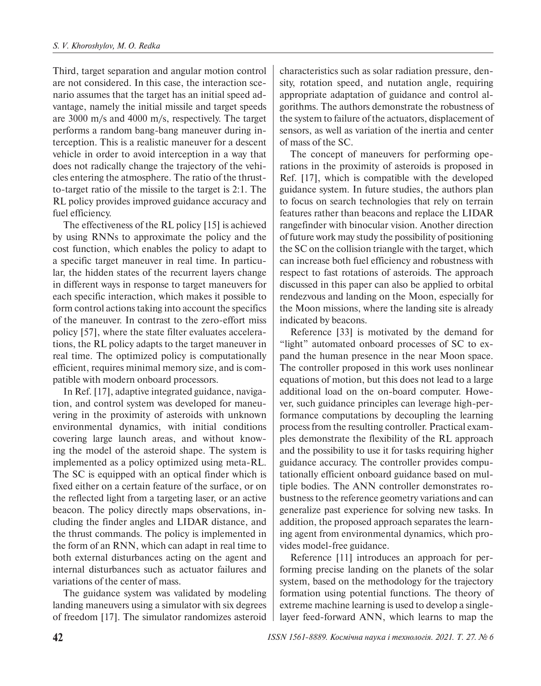Third, target separation and angular motion control are not considered. In this case, the interaction scenario assumes that the target has an initial speed advantage, namely the initial missile and target speeds are 3000 m/s and 4000 m/s, respectively. The target performs a random bang-bang maneuver during interception. This is a realistic maneuver for a descent vehicle in order to avoid interception in a way that does not radically change the trajectory of the vehicles entering the atmosphere. The ratio of the thrustto-target ratio of the missile to the target is 2:1. The RL policy provides improved guidance accuracy and fuel efficiency.

The effectiveness of the RL policy [15] is achieved by using RNNs to approximate the policy and the cost function, which enables the policy to adapt to a specific target maneuver in real time. In particular, the hidden states of the recurrent layers change in different ways in response to target maneuvers for each specific interaction, which makes it possible to form control actions taking into account the specifics of the maneuver. In contrast to the zero-effort miss policy [57], where the state filter evaluates accelerations, the RL policy adapts to the target maneuver in real time. The optimized policy is computationally efficient, requires minimal memory size, and is compatible with modern onboard processors.

In Ref. [17], adaptive integrated guidance, navigation, and control system was developed for maneuvering in the proximity of asteroids with unknown environmental dynamics, with initial conditions covering large launch areas, and without knowing the model of the asteroid shape. The system is implemented as a policy optimized using meta-RL. The SC is equipped with an optical finder which is fixed either on a certain feature of the surface, or on the reflected light from a targeting laser, or an active beacon. The policy directly maps observations, including the finder angles and LIDAR distance, and the thrust commands. The policy is implemented in the form of an RNN, which can adapt in real time to both external disturbances acting on the agent and internal disturbances such as actuator failures and variations of the center of mass.

The guidance system was validated by modeling landing maneuvers using a simulator with six degrees of freedom [17]. The simulator randomizes asteroid characteristics such as solar radiation pressure, density, rotation speed, and nutation angle, requiring appropriate adaptation of guidance and control algorithms. The authors demonstrate the robustness of the system to failure of the actuators, displacement of sensors, as well as variation of the inertia and center of mass of the SC.

The concept of maneuvers for performing operations in the proximity of asteroids is proposed in Ref. [17], which is compatible with the developed guidance system. In future studies, the authors plan to focus on search technologies that rely on terrain features rather than beacons and replace the LIDAR rangefinder with binocular vision. Another direction of future work may study the possibility of positioning the SC on the collision triangle with the target, which can increase both fuel efficiency and robustness with respect to fast rotations of asteroids. The approach discussed in this paper can also be applied to orbital rendezvous and landing on the Moon, especially for the Moon missions, where the landing site is already indicated by beacons.

Reference [33] is motivated by the demand for "light" automated onboard processes of SC to expand the human presence in the near Moon space. The controller proposed in this work uses nonlinear equations of motion, but this does not lead to a large additional load on the on-board computer. However, such guidance principles can leverage high-performance computations by decoupling the learning process from the resulting controller. Practical examples demonstrate the flexibility of the RL approach and the possibility to use it for tasks requiring higher guidance accuracy. The controller provides computationally efficient onboard guidance based on multiple bodies. The ANN controller demonstrates robustness to the reference geometry variations and can generalize past experience for solving new tasks. In addition, the proposed approach separates the learning agent from environmental dynamics, which provides model-free guidance.

Reference [11] introduces an approach for performing precise landing on the planets of the solar system, based on the methodology for the trajectory formation using potential functions. The theory of extreme machine learning is used to develop a singlelayer feed-forward ANN, which learns to map the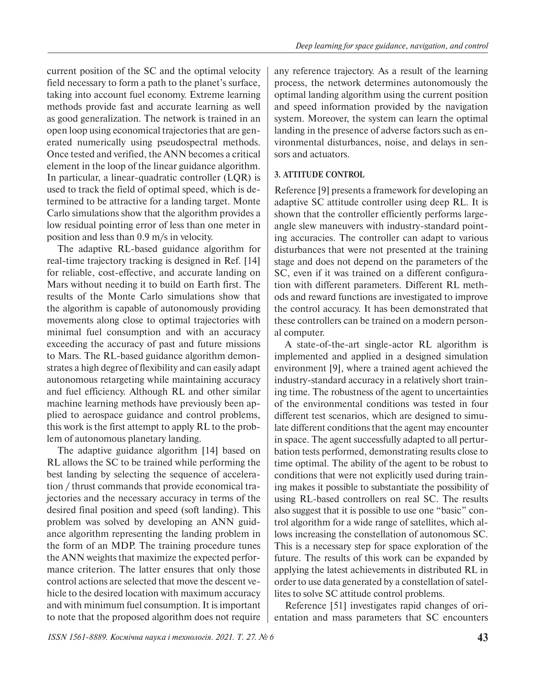current position of the SC and the optimal velocity field necessary to form a path to the planet's surface, taking into account fuel economy. Extreme learning methods provide fast and accurate learning as well as good generalization. The network is trained in an open loop using economical trajectories that are generated numerically using pseudospectral methods. Once tested and verified, the ANN becomes a critical element in the loop of the linear guidance algorithm. In particular, a linear-quadratic controller (LQR) is used to track the field of optimal speed, which is determined to be attractive for a landing target. Monte Carlo simulations show that the algorithm provides a low residual pointing error of less than one meter in position and less than 0.9 m/s in velocity.

The adaptive RL-based guidance algorithm for real-time trajectory tracking is designed in Ref. [14] for reliable, cost-effective, and accurate landing on Mars without needing it to build on Earth first. The results of the Monte Carlo simulations show that the algorithm is capable of autonomously providing movements along close to optimal trajectories with minimal fuel consumption and with an accuracy exceeding the accuracy of past and future missions to Mars. The RL-based guidance algorithm demonstrates a high degree of flexibility and can easily adapt autonomous retargeting while maintaining accuracy and fuel efficiency. Although RL and other similar machine learning methods have previously been applied to aerospace guidance and control problems, this work is the first attempt to apply RL to the problem of autonomous planetary landing.

The adaptive guidance algorithm [14] based on RL allows the SC to be trained while performing the best landing by selecting the sequence of acceleration / thrust commands that provide economical trajectories and the necessary accuracy in terms of the desired final position and speed (soft landing). This problem was solved by developing an ANN guidance algorithm representing the landing problem in the form of an MDP. The training procedure tunes the ANN weights that maximize the expected performance criterion. The latter ensures that only those control actions are selected that move the descent vehicle to the desired location with maximum accuracy and with minimum fuel consumption. It is important to note that the proposed algorithm does not require any reference trajectory. As a result of the learning process, the network determines autonomously the optimal landing algorithm using the current position and speed information provided by the navigation system. Moreover, the system can learn the optimal landing in the presence of adverse factors such as environmental disturbances, noise, and delays in sensors and actuators.

## **3. ATTITUDE CONTROL**

Reference [9] presents a framework for developing an adaptive SC attitude controller using deep RL. It is shown that the controller efficiently performs largeangle slew maneuvers with industry-standard pointing accuracies. The controller can adapt to various disturbances that were not presented at the training stage and does not depend on the parameters of the SC, even if it was trained on a different configuration with different parameters. Different RL methods and reward functions are investigated to improve the control accuracy. It has been demonstrated that these controllers can be trained on a modern personal computer.

A state-of-the-art single-actor RL algorithm is implemented and applied in a designed simulation environment [9], where a trained agent achieved the industry-standard accuracy in a relatively short training time. The robustness of the agent to uncertainties of the environmental conditions was tested in four different test scenarios, which are designed to simulate different conditions that the agent may encounter in space. The agent successfully adapted to all perturbation tests performed, demonstrating results close to time optimal. The ability of the agent to be robust to conditions that were not explicitly used during training makes it possible to substantiate the possibility of using RL-based controllers on real SC. The results also suggest that it is possible to use one "basic" control algorithm for a wide range of satellites, which allows increasing the constellation of autonomous SC. This is a necessary step for space exploration of the future. The results of this work can be expanded by applying the latest achievements in distributed RL in order to use data generated by a constellation of satellites to solve SC attitude control problems.

Reference [51] investigates rapid changes of orientation and mass parameters that SC encounters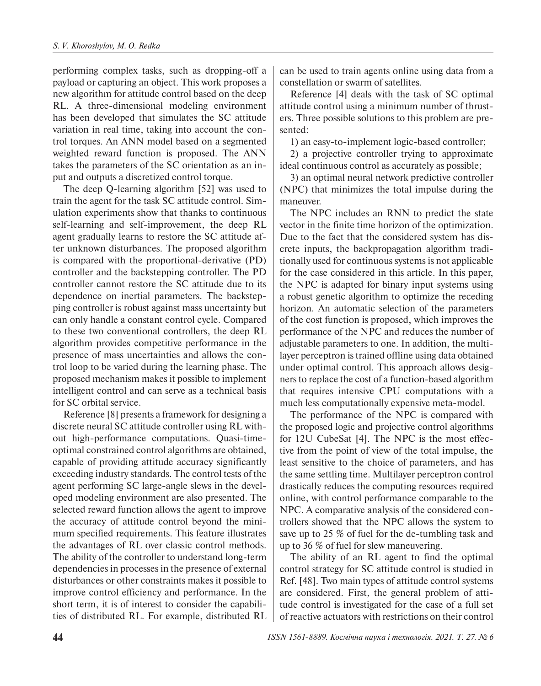performing complex tasks, such as dropping-off a payload or capturing an object. This work proposes a new algorithm for attitude control based on the deep RL. A three-dimensional modeling environment has been developed that simulates the SC attitude variation in real time, taking into account the control torques. An ANN model based on a segmented weighted reward function is proposed. The ANN takes the parameters of the SC orientation as an input and outputs a discretized control torque.

The deep Q-learning algorithm [52] was used to train the agent for the task SC attitude control. Simulation experiments show that thanks to continuous self-learning and self-improvement, the deep RL agent gradually learns to restore the SC attitude after unknown disturbances. The proposed algorithm is compared with the proportional-derivative (PD) controller and the backstepping controller. The PD controller cannot restore the SC attitude due to its dependence on inertial parameters. The backstepping controller is robust against mass uncertainty but can only handle a constant control cycle. Compared to these two conventional controllers, the deep RL algorithm provides competitive performance in the presence of mass uncertainties and allows the control loop to be varied during the learning phase. The proposed mechanism makes it possible to implement intelligent control and can serve as a technical basis for SC orbital service.

Reference [8] presents a framework for designing a discrete neural SC attitude controller using RL without high-performance computations. Quasi-timeoptimal constrained control algorithms are obtained, capable of providing attitude accuracy significantly exceeding industry standards. The control tests of the agent performing SC large-angle slews in the developed modeling environment are also presented. The selected reward function allows the agent to improve the accuracy of attitude control beyond the minimum specified requirements. This feature illustrates the advantages of RL over classic control methods. The ability of the controller to understand long-term dependencies in processes in the presence of external disturbances or other constraints makes it possible to improve control efficiency and performance. In the short term, it is of interest to consider the capabilities of distributed RL. For example, distributed RL can be used to train agents online using data from a constellation or swarm of satellites.

Reference [4] deals with the task of SC optimal attitude control using a minimum number of thrusters. Three possible solutions to this problem are presented:

1) an easy-to-implement logic-based controller;

2) a projective controller trying to approximate ideal continuous control as accurately as possible;

3) an optimal neural network predictive controller (NPC) that minimizes the total impulse during the maneuver.

The NPC includes an RNN to predict the state vector in the finite time horizon of the optimization. Due to the fact that the considered system has discrete inputs, the backpropagation algorithm traditionally used for continuous systems is not applicable for the case considered in this article. In this paper, the NPC is adapted for binary input systems using a robust genetic algorithm to optimize the receding horizon. An automatic selection of the parameters of the cost function is proposed, which improves the performance of the NPC and reduces the number of adjustable parameters to one. In addition, the multilayer perceptron is trained offline using data obtained under optimal control. This approach allows designers to replace the cost of a function-based algorithm that requires intensive CPU computations with a much less computationally expensive meta-model.

The performance of the NPC is compared with the proposed logic and projective control algorithms for 12U CubeSat [4]. The NPC is the most effective from the point of view of the total impulse, the least sensitive to the choice of parameters, and has the same settling time. Multilayer perceptron control drastically reduces the computing resources required online, with control performance comparable to the NPC. A comparative analysis of the considered controllers showed that the NPC allows the system to save up to 25 % of fuel for the de-tumbling task and up to 36 % of fuel for slew maneuvering.

The ability of an RL agent to find the optimal control strategy for SC attitude control is studied in Ref. [48]. Two main types of attitude control systems are considered. First, the general problem of attitude control is investigated for the case of a full set of reactive actuators with restrictions on their control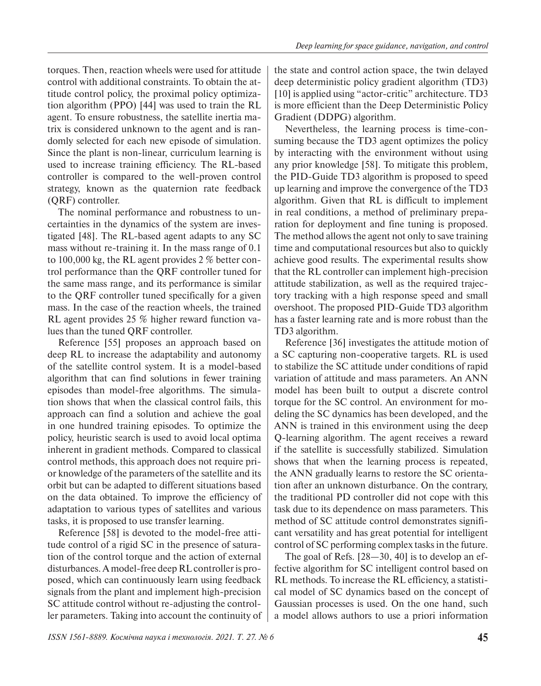torques. Then, reaction wheels were used for attitude control with additional constraints. To obtain the attitude control policy, the proximal policy optimization algorithm (PPO) [44] was used to train the RL agent. To ensure robustness, the satellite inertia matrix is considered unknown to the agent and is randomly selected for each new episode of simulation. Since the plant is non-linear, curriculum learning is used to increase training efficiency. The RL-based controller is compared to the well-proven control strategy, known as the quaternion rate feedback (QRF) controller.

The nominal performance and robustness to uncertainties in the dynamics of the system are investigated [48]. The RL-based agent adapts to any SC mass without re-training it. In the mass range of 0.1 to 100,000 kg, the RL agent provides 2 % better control performance than the QRF controller tuned for the same mass range, and its performance is similar to the QRF controller tuned specifically for a given mass. In the case of the reaction wheels, the trained RL agent provides 25 % higher reward function values than the tuned QRF controller.

Reference [55] proposes an approach based on deep RL to increase the adaptability and autonomy of the satellite control system. It is a model-based algorithm that can find solutions in fewer training episodes than model-free algorithms. The simulation shows that when the classical control fails, this approach can find a solution and achieve the goal in one hundred training episodes. To optimize the policy, heuristic search is used to avoid local optima inherent in gradient methods. Compared to classical control methods, this approach does not require prior knowledge of the parameters of the satellite and its orbit but can be adapted to different situations based on the data obtained. To improve the efficiency of adaptation to various types of satellites and various tasks, it is proposed to use transfer learning.

Reference [58] is devoted to the model-free attitude control of a rigid SC in the presence of saturation of the control torque and the action of external disturbances. A model-free deep RL controller is proposed, which can continuously learn using feedback signals from the plant and implement high-precision SC attitude control without re-adjusting the controller parameters. Taking into account the continuity of the state and control action space, the twin delayed deep deterministic policy gradient algorithm (TD3) [10] is applied using "actor-critic" architecture. TD3 is more efficient than the Deep Deterministic Policy Gradient (DDPG) algorithm.

Nevertheless, the learning process is time-consuming because the TD3 agent optimizes the policy by interacting with the environment without using any prior knowledge [58]. To mitigate this problem, the PID-Guide TD3 algorithm is proposed to speed up learning and improve the convergence of the TD3 algorithm. Given that RL is difficult to implement in real conditions, a method of preliminary preparation for deployment and fine tuning is proposed. The method allows the agent not only to save training time and computational resources but also to quickly achieve good results. The experimental results show that the RL controller can implement high-precision attitude stabilization, as well as the required trajectory tracking with a high response speed and small overshoot. The proposed PID-Guide TD3 algorithm has a faster learning rate and is more robust than the TD3 algorithm.

Reference [36] investigates the attitude motion of a SC capturing non-cooperative targets. RL is used to stabilize the SC attitude under conditions of rapid variation of attitude and mass parameters. An ANN model has been built to output a discrete control torque for the SC control. An environment for modeling the SC dynamics has been developed, and the ANN is trained in this environment using the deep Q-learning algorithm. The agent receives a reward if the satellite is successfully stabilized. Simulation shows that when the learning process is repeated, the ANN gradually learns to restore the SC orientation after an unknown disturbance. On the contrary, the traditional PD controller did not cope with this task due to its dependence on mass parameters. This method of SC attitude control demonstrates significant versatility and has great potential for intelligent control of SC performing complex tasks in the future.

The goal of Refs. [28—30, 40] is to develop an effective algorithm for SC intelligent control based on RL methods. To increase the RL efficiency, a statistical model of SC dynamics based on the concept of Gaussian processes is used. On the one hand, such a model allows authors to use a priori information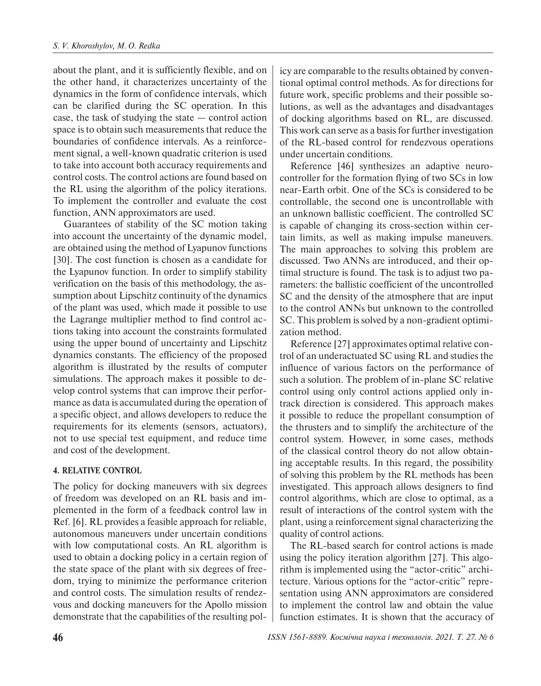about the plant, and it is sufficiently flexible, and on the other hand, it characterizes uncertainty of the dynamics in the form of confidence intervals, which can be clarified during the SC operation. In this case, the task of studying the state — control action space is to obtain such measurements that reduce the boundaries of confidence intervals. As a reinforcement signal, a well-known quadratic criterion is used to take into account both accuracy requirements and control costs. The control actions are found based on the RL using the algorithm of the policy iterations. To implement the controller and evaluate the cost function, ANN approximators are used.

Guarantees of stability of the SC motion taking into account the uncertainty of the dynamic model, are obtained using the method of Lyapunov functions [30]. The cost function is chosen as a candidate for the Lyapunov function. In order to simplify stability verification on the basis of this methodology, the assumption about Lipschitz continuity of the dynamics of the plant was used, which made it possible to use the Lagrange multiplier method to find control actions taking into account the constraints formulated using the upper bound of uncertainty and Lipschitz dynamics constants. The efficiency of the proposed algorithm is illustrated by the results of computer simulations. The approach makes it possible to develop control systems that can improve their performance as data is accumulated during the operation of a specific object, and allows developers to reduce the requirements for its elements (sensors, actuators), not to use special test equipment, and reduce time and cost of the development.

### **4. RELATIVE CONTROL**

The policy for docking maneuvers with six degrees of freedom was developed on an RL basis and implemented in the form of a feedback control law in Ref. [6]. RL provides a feasible approach for reliable, autonomous maneuvers under uncertain conditions with low computational costs. An RL algorithm is used to obtain a docking policy in a certain region of the state space of the plant with six degrees of freedom, trying to minimize the performance criterion and control costs. The simulation results of rendezvous and docking maneuvers for the Apollo mission demonstrate that the capabilities of the resulting policy are comparable to the results obtained by conventional optimal control methods. As for directions for future work, specific problems and their possible solutions, as well as the advantages and disadvantages of docking algorithms based on RL, are discussed. This work can serve as a basis for further investigation of the RL-based control for rendezvous operations under uncertain conditions.

Reference [46] synthesizes an adaptive neurocontroller for the formation flying of two SCs in low near-Earth orbit. One of the SCs is considered to be controllable, the second one is uncontrollable with an unknown ballistic coefficient. The controlled SC is capable of changing its cross-section within certain limits, as well as making impulse maneuvers. The main approaches to solving this problem are discussed. Two ANNs are introduced, and their optimal structure is found. The task is to adjust two parameters: the ballistic coefficient of the uncontrolled SC and the density of the atmosphere that are input to the control ANNs but unknown to the controlled SC. This problem is solved by a non-gradient optimization method.

Reference [27] approximates optimal relative control of an underactuated SC using RL and studies the influence of various factors on the performance of such a solution. The problem of in-plane SC relative control using only control actions applied only intrack direction is considered. This approach makes it possible to reduce the propellant consumption of the thrusters and to simplify the architecture of the control system. However, in some cases, methods of the classical control theory do not allow obtaining acceptable results. In this regard, the possibility of solving this problem by the RL methods has been investigated. This approach allows designers to find control algorithms, which are close to optimal, as a result of interactions of the control system with the plant, using a reinforcement signal characterizing the quality of control actions.

The RL-based search for control actions is made using the policy iteration algorithm [27]. This algorithm is implemented using the "actor-critic" architecture. Various options for the "actor-critic" representation using ANN approximators are considered to implement the control law and obtain the value function estimates. It is shown that the accuracy of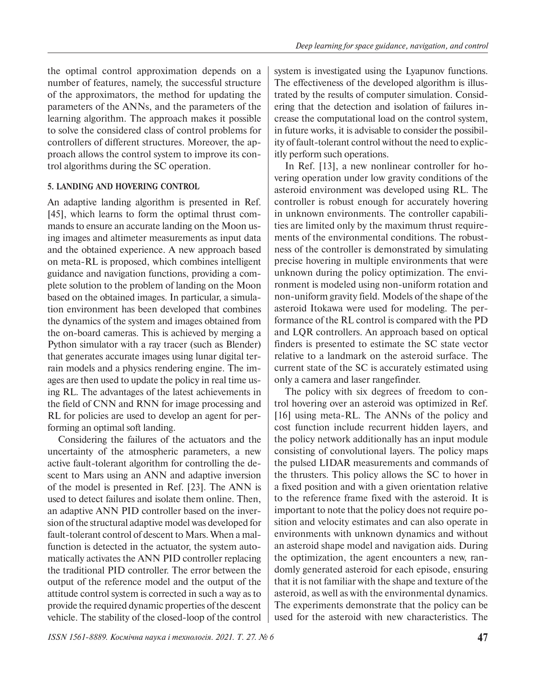the optimal control approximation depends on a number of features, namely, the successful structure of the approximators, the method for updating the parameters of the ANNs, and the parameters of the learning algorithm. The approach makes it possible to solve the considered class of control problems for controllers of different structures. Moreover, the approach allows the control system to improve its control algorithms during the SC operation.

# **5. LANDING AND HOVERING CONTROL**

An adaptive landing algorithm is presented in Ref. [45], which learns to form the optimal thrust commands to ensure an accurate landing on the Moon using images and altimeter measurements as input data and the obtained experience. A new approach based on meta-RL is proposed, which combines intelligent guidance and navigation functions, providing a complete solution to the problem of landing on the Moon based on the obtained images. In particular, a simulation environment has been developed that combines the dynamics of the system and images obtained from the on-board cameras. This is achieved by merging a Python simulator with a ray tracer (such as Blender) that generates accurate images using lunar digital terrain models and a physics rendering engine. The images are then used to update the policy in real time using RL. The advantages of the latest achievements in the field of CNN and RNN for image processing and RL for policies are used to develop an agent for performing an optimal soft landing.

Considering the failures of the actuators and the uncertainty of the atmospheric parameters, a new active fault-tolerant algorithm for controlling the descent to Mars using an ANN and adaptive inversion of the model is presented in Ref. [23]. The ANN is used to detect failures and isolate them online. Then, an adaptive ANN PID controller based on the inversion of the structural adaptive model was developed for fault-tolerant control of descent to Mars. When a malfunction is detected in the actuator, the system automatically activates the ANN PID controller replacing the traditional PID controller. The error between the output of the reference model and the output of the attitude control system is corrected in such a way as to provide the required dynamic properties of the descent vehicle. The stability of the closed-loop of the control system is investigated using the Lyapunov functions. The effectiveness of the developed algorithm is illustrated by the results of computer simulation. Considering that the detection and isolation of failures increase the computational load on the control system, in future works, it is advisable to consider the possibility of fault-tolerant control without the need to explicitly perform such operations.

In Ref. [13], a new nonlinear controller for hovering operation under low gravity conditions of the asteroid environment was developed using RL. The controller is robust enough for accurately hovering in unknown environments. The controller capabilities are limited only by the maximum thrust requirements of the environmental conditions. The robustness of the controller is demonstrated by simulating precise hovering in multiple environments that were unknown during the policy optimization. The environment is modeled using non-uniform rotation and non-uniform gravity field. Models of the shape of the asteroid Itokawa were used for modeling. The performance of the RL control is compared with the PD and LQR controllers. An approach based on optical finders is presented to estimate the SC state vector relative to a landmark on the asteroid surface. The current state of the SC is accurately estimated using only a camera and laser rangefinder.

The policy with six degrees of freedom to control hovering over an asteroid was optimized in Ref. [16] using meta-RL. The ANNs of the policy and cost function include recurrent hidden layers, and the policy network additionally has an input module consisting of convolutional layers. The policy maps the pulsed LIDAR measurements and commands of the thrusters. This policy allows the SC to hover in a fixed position and with a given orientation relative to the reference frame fixed with the asteroid. It is important to note that the policy does not require position and velocity estimates and can also operate in environments with unknown dynamics and without an asteroid shape model and navigation aids. During the optimization, the agent encounters a new, randomly generated asteroid for each episode, ensuring that it is not familiar with the shape and texture of the asteroid, as well as with the environmental dynamics. The experiments demonstrate that the policy can be used for the asteroid with new characteristics. The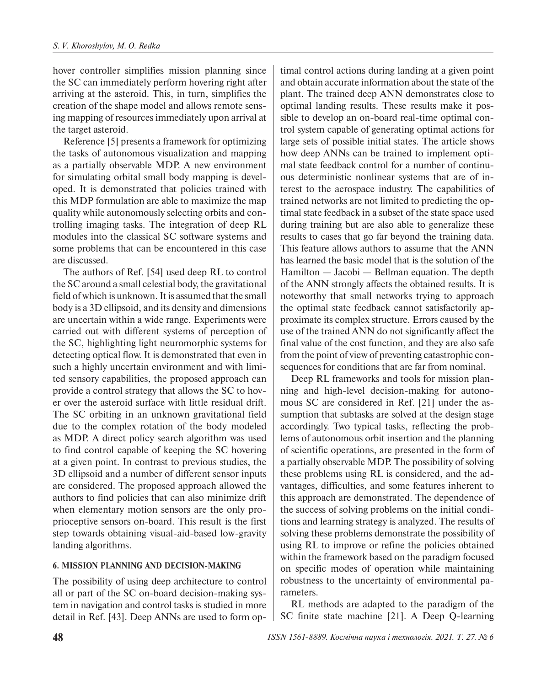hover controller simplifies mission planning since the SC can immediately perform hovering right after arriving at the asteroid. This, in turn, simplifies the creation of the shape model and allows remote sensing mapping of resources immediately upon arrival at the target asteroid.

Reference [5] presents a framework for optimizing the tasks of autonomous visualization and mapping as a partially observable MDP. A new environment for simulating orbital small body mapping is developed. It is demonstrated that policies trained with this MDP formulation are able to maximize the map quality while autonomously selecting orbits and controlling imaging tasks. The integration of deep RL modules into the classical SC software systems and some problems that can be encountered in this case are discussed.

The authors of Ref. [54] used deep RL to control the SC around a small celestial body, the gravitational field of which is unknown. It is assumed that the small body is a 3D ellipsoid, and its density and dimensions are uncertain within a wide range. Experiments were carried out with different systems of perception of the SC, highlighting light neuromorphic systems for detecting optical flow. It is demonstrated that even in such a highly uncertain environment and with limited sensory capabilities, the proposed approach can provide a control strategy that allows the SC to hover over the asteroid surface with little residual drift. The SC orbiting in an unknown gravitational field due to the complex rotation of the body modeled as MDP. A direct policy search algorithm was used to find control capable of keeping the SC hovering at a given point. In contrast to previous studies, the 3D ellipsoid and a number of different sensor inputs are considered. The proposed approach allowed the authors to find policies that can also minimize drift when elementary motion sensors are the only proprioceptive sensors on-board. This result is the first step towards obtaining visual-aid-based low-gravity landing algorithms.

## **6. MISSION PLANNING AND DECISION-MAKING**

The possibility of using deep architecture to control all or part of the SC on-board decision-making system in navigation and control tasks is studied in more detail in Ref. [43]. Deep ANNs are used to form op-

timal control actions during landing at a given point and obtain accurate information about the state of the plant. The trained deep ANN demonstrates close to optimal landing results. These results make it possible to develop an on-board real-time optimal control system capable of generating optimal actions for large sets of possible initial states. The article shows how deep ANNs can be trained to implement optimal state feedback control for a number of continuous deterministic nonlinear systems that are of interest to the aerospace industry. The capabilities of trained networks are not limited to predicting the optimal state feedback in a subset of the state space used during training but are also able to generalize these results to cases that go far beyond the training data. This feature allows authors to assume that the ANN has learned the basic model that is the solution of the Hamilton — Jacobi — Bellman equation. The depth of the ANN strongly affects the obtained results. It is noteworthy that small networks trying to approach the optimal state feedback cannot satisfactorily approximate its complex structure. Errors caused by the use of the trained ANN do not significantly affect the final value of the cost function, and they are also safe from the point of view of preventing catastrophic consequences for conditions that are far from nominal.

Deep RL frameworks and tools for mission planning and high-level decision-making for autonomous SC are considered in Ref. [21] under the assumption that subtasks are solved at the design stage accordingly. Two typical tasks, reflecting the problems of autonomous orbit insertion and the planning of scientific operations, are presented in the form of a partially observable MDP. The possibility of solving these problems using RL is considered, and the advantages, difficulties, and some features inherent to this approach are demonstrated. The dependence of the success of solving problems on the initial conditions and learning strategy is analyzed. The results of solving these problems demonstrate the possibility of using RL to improve or refine the policies obtained within the framework based on the paradigm focused on specific modes of operation while maintaining robustness to the uncertainty of environmental parameters.

RL methods are adapted to the paradigm of the SC finite state machine [21]. A Deep Q-learning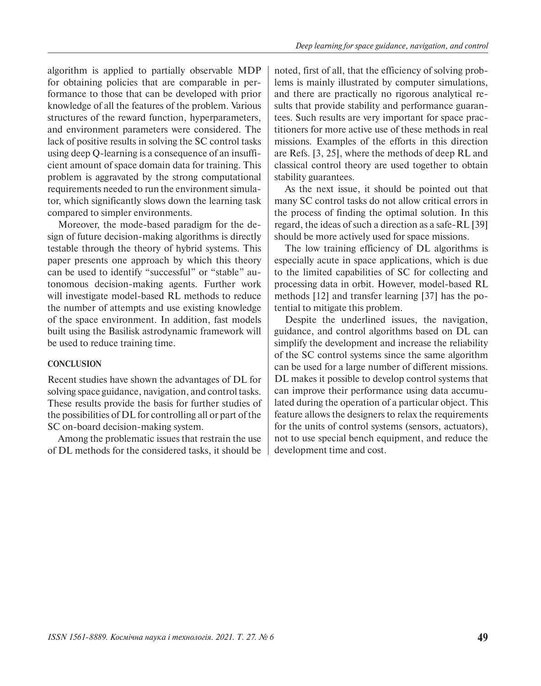algorithm is applied to partially observable MDP for obtaining policies that are comparable in performance to those that can be developed with prior knowledge of all the features of the problem. Various structures of the reward function, hyperparameters, and environment parameters were considered. The lack of positive results in solving the SC control tasks using deep Q-learning is a consequence of an insufficient amount of space domain data for training. This problem is aggravated by the strong computational requirements needed to run the environment simulator, which significantly slows down the learning task compared to simpler environments.

Moreover, the mode-based paradigm for the design of future decision-making algorithms is directly testable through the theory of hybrid systems. This paper presents one approach by which this theory can be used to identify "successful" or "stable" autonomous decision-making agents. Further work will investigate model-based RL methods to reduce the number of attempts and use existing knowledge of the space environment. In addition, fast models built using the Basilisk astrodynamic framework will be used to reduce training time.

#### **CONCLUSION**

Recent studies have shown the advantages of DL for solving space guidance, navigation, and control tasks. These results provide the basis for further studies of the possibilities of DL for controlling all or part of the SC on-board decision-making system.

Among the problematic issues that restrain the use of DL methods for the considered tasks, it should be

noted, first of all, that the efficiency of solving problems is mainly illustrated by computer simulations, and there are practically no rigorous analytical results that provide stability and performance guarantees. Such results are very important for space practitioners for more active use of these methods in real missions. Examples of the efforts in this direction are Refs. [3, 25], where the methods of deep RL and classical control theory are used together to obtain stability guarantees.

As the next issue, it should be pointed out that many SC control tasks do not allow critical errors in the process of finding the optimal solution. In this regard, the ideas of such a direction as a safe-RL [39] should be more actively used for space missions.

The low training efficiency of DL algorithms is especially acute in space applications, which is due to the limited capabilities of SC for collecting and processing data in orbit. However, model-based RL methods [12] and transfer learning [37] has the potential to mitigate this problem.

Despite the underlined issues, the navigation, guidance, and control algorithms based on DL can simplify the development and increase the reliability of the SC control systems since the same algorithm can be used for a large number of different missions. DL makes it possible to develop control systems that can improve their performance using data accumulated during the operation of a particular object. This feature allows the designers to relax the requirements for the units of control systems (sensors, actuators), not to use special bench equipment, and reduce the development time and cost.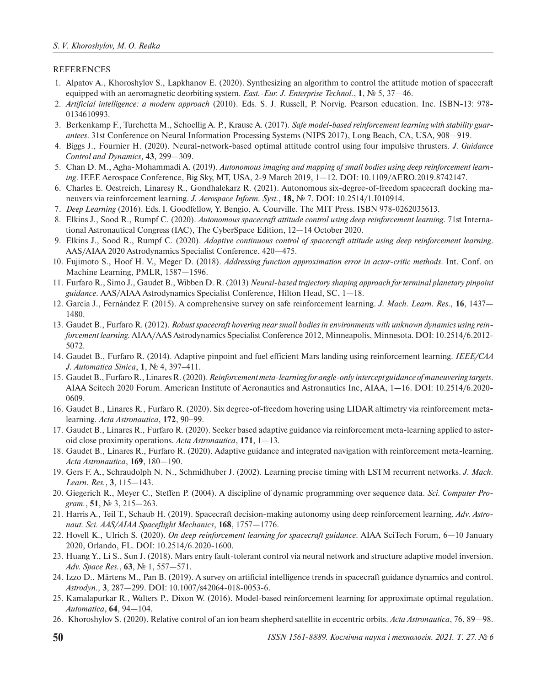#### REFERENCES

- 1. Alpatov A., Khoroshylov S., Lapkhanov E. (2020). Synthesizing an algorithm to control the attitude motion of spacecraft equipped with an aeromagnetic deorbiting system. *East.-Eur. J. Enterprise Technol.*, **1**, № 5, 37—46.
- 2. *Artificial intelligence: a modern approach* (2010). Eds. S. J. Russell, P. Norvig. Pearson education. Inc. ISBN-13: 978- 0134610993.
- 3. Berkenkamp F., Turchetta M., Schoellig A. P., Krause A. (2017). *Safe model-based reinforcement learning with stability guarantees*. 31st Conference on Neural Information Processing Systems (NIPS 2017), Long Beach, CA, USA*,* 908—919.
- 4. Biggs J., Fournier H. (2020). Neural-network-based optimal attitude control using four impulsive thrusters. *J. Guidance Control and Dynamics,* **43**, 299—309.
- 5. Chan D. M., Agha-Mohammadi A. (2019). *Autonomous imaging and mapping of small bodies using deep reinforcement learning*. IEEE Aerospace Conference, Big Sky, MT, USA, 2-9 March 2019, 1—12. DOI: 10.1109/AERO.2019.8742147.
- 6. Charles E. Oestreich, Linaresy R., Gondhalekarz R. (2021). Autonomous six-degree-of-freedom spacecraft docking maneuvers via reinforcement learning. *J. Aerospace Inform. Syst.*, **18,** № 7. DOI: 10.2514/1.I010914.
- 7. *Deep Learning* (2016). Eds. I. Goodfellow, Y. Bengio, A. Courville. The MIT Press. ISBN 978-0262035613.
- 8. Elkins J., Sood R., Rumpf C. (2020). *Autonomous spacecraft attitude control using deep reinforcement learning*. 71st International Astronautical Congress (IAC), The CyberSpace Edition, 12—14 October 2020.
- 9. Elkins J., Sood R., Rumpf C. (2020). *Adaptive continuous control of spacecraft attitude using deep reinforcement learning*. AAS/AIAA 2020 Astrodynamics Specialist Conference, 420—475.
- 10. Fujimoto S., Hoof H. V., Meger D. (2018). *Addressing function approximation error in actor-critic methods*. Int. Conf. on Machine Learning, PMLR*,* 1587—1596.
- 11. Furfaro R., Simo J., Gaudet B., Wibben D. R. (2013) *Neural-based trajectory shaping approach for terminal planetary pinpoint guidance*. AAS/AIAA Astrodynamics Specialist Conference, Hilton Head, SC, 1—18.
- 12. García J., Fernández F. (2015). A comprehensive survey on safe reinforcement learning. *J. Mach. Learn. Res.,* **16**, 1437— 1480.
- 13. Gaudet B., Furfaro R. (2012). *Robust spacecraft hovering near small bodies in environments with unknown dynamics using reinforcement learning.* AIAA/AAS Astrodynamics Specialist Conference 2012, Minneapolis, Minnesota. DOI: 10.2514/6.2012- 5072.
- 14. Gaudet B., Furfaro R. (2014). Adaptive pinpoint and fuel efficient Mars landing using reinforcement learning. *IEEE/CAA J. Automatica Sinica*, **1**, № 4, 397-411.
- 15. Gaudet B., Furfaro R., Linares R. (2020). *Reinforcement meta-learning for angle-only intercept guidance of maneuvering targets*. AIAA Scitech 2020 Forum. American Institute of Aeronautics and Astronautics Inc, AIAA, 1—16. DOI: 10.2514/6.2020- 0609.
- 16. Gaudet B., Linares R., Furfaro R. (2020). Six degree-of-freedom hovering using LIDAR altimetry via reinforcement metalearning. *Acta Astronautica*, **172**, 90−99.
- 17. Gaudet B., Linares R., Furfaro R. (2020). Seeker based adaptive guidance via reinforcement meta-learning applied to asteroid close proximity operations. *Acta Astronautica*, **171**, 1—13.
- 18. Gaudet B., Linares R., Furfaro R. (2020). Adaptive guidance and integrated navigation with reinforcement meta-learning. *Acta Astronautica*, **169**, 180—190.
- 19. Gers F. A., Schraudolph N. N., Schmidhuber J. (2002). Learning precise timing with LSTM recurrent networks. *J. Mach. Learn. Res.*, **3**, 115—143.
- 20. Giegerich R., Meyer C., Steffen P. (2004). A discipline of dynamic programming over sequence data. *Sci. Computer Program.*, **51**, № 3, 215—263.
- 21. Harris A., Teil T., Schaub H. (2019). Spacecraft decision-making autonomy using deep reinforcement learning. *Adv. Astronaut. Sci. AAS/AIAA Spaceflight Mechanics*, **168**, 1757—1776.
- 22. Hovell K., Ulrich S. (2020). *On deep reinforcement learning for spacecraft guidance*. AIAA SciTech Forum, 6—10 January 2020, Orlando, FL. DOI: 10.2514/6.2020-1600.
- 23. Huang Y., Li S., Sun J. (2018). Mars entry fault-tolerant control via neural network and structure adaptive model inversion. *Adv. Space Res.*, **63**, № 1, 557—571.
- 24. Izzo D., Märtens M., Pan B. (2019). A survey on artificial intelligence trends in spacecraft guidance dynamics and control. *Astrodyn.,* **3**, 287—299. DOI: 10.1007/s42064-018-0053-6.
- 25. Kamalapurkar R., Walters P., Dixon W. (2016). Model-based reinforcement learning for approximate optimal regulation. *Automatica*, **64**, 94—104.
- 26. Khoroshylov S. (2020). Relative control of an ion beam shepherd satellite in eccentric orbits. *Acta Astronautica*, 76, 89—98.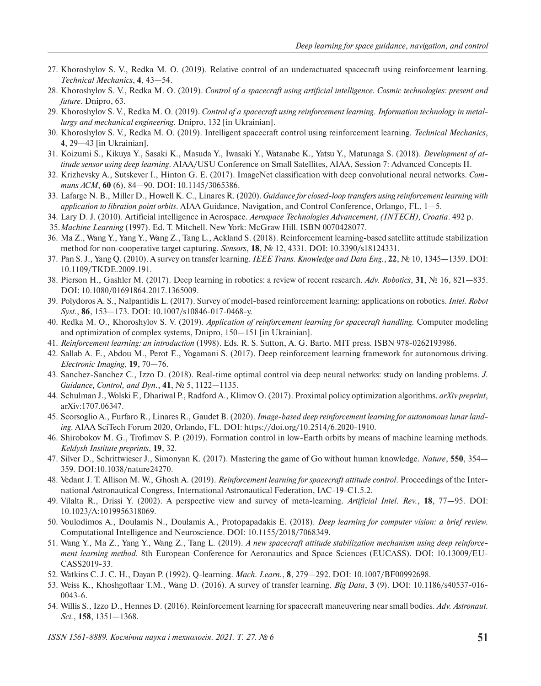- 27. Khoroshylov S. V., Redka M. O. (2019). Relative control of an underactuated spacecraft using reinforcement learning. *Тechnical Mechanics*, **4**, 43—54.
- 28. Khoroshylov S. V., Redka M. O. (2019). *Control of a spacecraft using artificial intelligence. Cosmic technologies: present and future*. Dnipro, 63.
- 29. Khoroshylov S. V., Redka M. O. (2019). *Control of a spacecraft using reinforcement learning*. *Information technology in metallurgy and mechanical engineering*. Dnipro, 132 [in Ukrainian].
- 30. Khoroshylov S. V., Redka M. O. (2019). Intelligent spacecraft control using reinforcement learning. *Technical Mechanics*, **4**, 29—43 [in Ukrainian].
- 31. Koizumi S., Kikuya Y., Sasaki K., Masuda Y., Iwasaki Y., Watanabe K., Yatsu Y., Matunaga S. (2018). *Development of attitude sensor using deep learning*. AIAA/USU Conference on Small Satellites, AIAA, Session 7: Advanced Concepts II.
- 32. Krizhevsky A., Sutskever I., Hinton G. E. (2017). ImageNet classification with deep convolutional neural networks. *Communs ACM*, **60** (6), 84—90. DOI: 10.1145/3065386.
- 33. Lafarge N. B., Miller D., Howell K. C., Linares R. (2020). *Guidance for closed-loop transfers using reinforcement learning with application to libration point orbits*. AIAA Guidance, Navigation, and Control Conference, Orlango, FL, 1—5.
- 34. Lary D. J. (2010). Artificial intelligence in Aerospace. *Aerospace Technologies Advancement, (INTECH), Croatia*. 492 p.
- 35. *Machine Learning* (1997). Ed. T. Mitchell. New York: McGraw Hill. ISBN 0070428077.
- 36. Ma Z., Wang Y., Yang Y., Wang Z., Tang L., Ackland S. (2018). Reinforcement learning-based satellite attitude stabilization method for non-cooperative target capturing. *Sensors*, **18**, № 12, 4331. DOI: 10.3390/s18124331.
- 37. Pan S. J., Yang Q. (2010). A survey on transfer learning. *IEEE Trans. Knowledge and Data Eng.*, **22**, № 10, 1345—1359. DOI: 10.1109/TKDE.2009.191.
- 38. Pierson H., Gashler M. (2017). Deep learning in robotics: a review of recent research. *Adv. Robotics*, **31**, № 16, 821—835. DOI: 10.1080/01691864.2017.1365009.
- 39. Polydoros A. S., Nalpantidis L. (2017). Survey of model-based reinforcement learning: applications on robotics. *Intel. Robot Syst.*, **86**, 153—173. DOI: 10.1007/s10846-017-0468-y.
- 40. Redka M. O., Khoroshylov S. V. (2019). *Application of reinforcement learning for spacecraft handling.* Computer modeling and optimization of complex systems, Dnipro, 150—151 [in Ukrainian].
- 41. *Reinforcement learning: an introduction* (1998). Eds. R. S. Sutton, A. G. Barto. MIT press. ISBN 978-0262193986.
- 42. Sallab A. E., Abdou M., Perot E., Yogamani S. (2017). Deep reinforcement learning framework for autonomous driving. *Electronic Imaging*, **19**, 70—76.
- 43. Sanchez-Sanchez C., Izzo D. (2018). Real-time optimal control via deep neural networks: study on landing problems. *J. Guidance, Control, and Dyn.*, **41**, № 5, 1122—1135.
- 44. Schulman J., Wolski F., Dhariwal P., Radford A., Klimov O. (2017). Proximal policy optimization algorithms. *arXiv preprint*, arXiv:1707.06347.
- 45. Scorsoglio A., Furfaro R., Linares R., Gaudet B. (2020). *Image-based deep reinforcement learning for autonomous lunar landing*. AIAA SciTech Forum 2020, Orlando, FL. DOI: https://doi.org/10.2514/6.2020-1910.
- 46. Shirobokov M. G., Trofimov S. P. (2019). Formation control in low-Earth orbits by means of machine learning methods. *Keldysh Institute preprints*, **19**, 32.
- 47. Silver D., Schrittwieser J., Simonyan K. (2017). Mastering the game of Go without human knowledge. *Nature*, **550**, 354— 359. DOI:10.1038/nature24270.
- 48. Vedant J. T. Allison M. W., Ghosh A. (2019). *Reinforcement learning for spacecraft attitude control*. Proceedings of the International Astronautical Congress, International Astronautical Federation, IAC-19-C1.5.2.
- 49. Vilalta R., Drissi Y. (2002). A perspective view and survey of meta-learning. *Artificial Intel. Rev.*, **18**, 77—95. DOI: 10.1023/A:1019956318069.
- 50. Voulodimos A., Doulamis N., Doulamis A., Protopapadakis E. (2018). *Deep learning for computer vision: a brief review.* Computational Intelligence and Neuroscience. DOI: 10.1155/2018/7068349.
- 51. Wang Y., Ma Z., Yang Y., Wang Z., Tang L. (2019). *A new spacecraft attitude stabilization mechanism using deep reinforcement learning method*. 8th European Conference for Aeronautics and Space Sciences (EUCASS). DOI: 10.13009/EU-CASS2019-33.
- 52. Watkins C. J. C. H., Dayan P. (1992). Q-learning. *Mach. Learn.*, **8**, 279—292. DOI: 10.1007/BF00992698.
- 53. Weiss K., Khoshgoftaar T.M., Wang D. (2016). A survey of transfer learning. *Big Data*, **3** (9). DOI: 10.1186/s40537-016- 0043-6.
- 54. Willis S., Izzo D., Hennes D. (2016). Reinforcement learning for spacecraft maneuvering near small bodies. *Adv. Astronaut. Sci.*, **158**, 1351—1368.